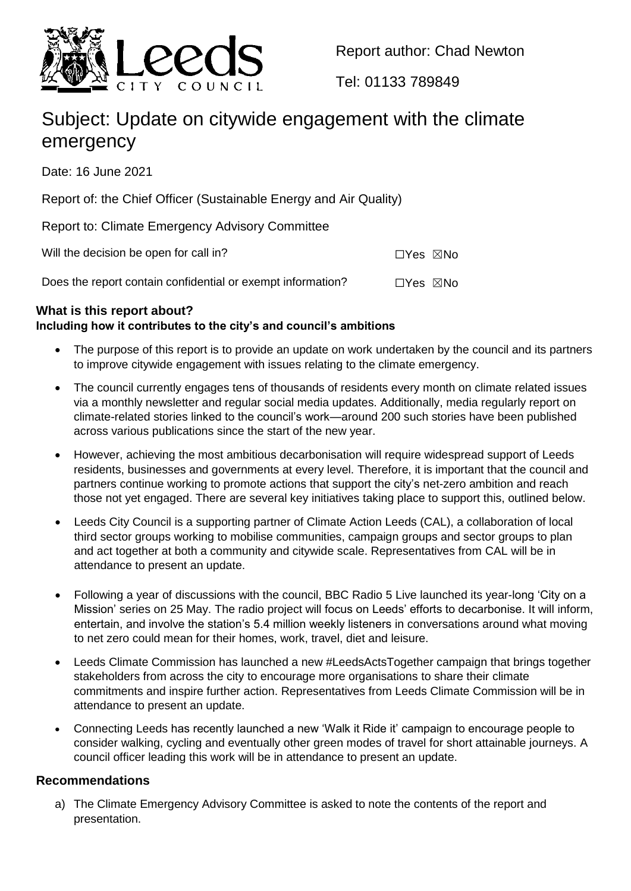

Report author: Chad Newton

Tel: 01133 789849

# Subject: Update on citywide engagement with the climate emergency

Date: 16 June 2021

Report of: the Chief Officer (Sustainable Energy and Air Quality)

Report to: Climate Emergency Advisory Committee

Will the decision be open for call in?  $\square Y$ es  $\square N$ o

Does the report contain confidential or exempt information?  $\square$ 

## **What is this report about? Including how it contributes to the city's and council's ambitions**

- The purpose of this report is to provide an update on work undertaken by the council and its partners to improve citywide engagement with issues relating to the climate emergency.
- The council currently engages tens of thousands of residents every month on climate related issues via a monthly newsletter and regular social media updates. Additionally, media regularly report on climate-related stories linked to the council's work—around 200 such stories have been published across various publications since the start of the new year.
- However, achieving the most ambitious decarbonisation will require widespread support of Leeds residents, businesses and governments at every level. Therefore, it is important that the council and partners continue working to promote actions that support the city's net-zero ambition and reach those not yet engaged. There are several key initiatives taking place to support this, outlined below.
- Leeds City Council is a supporting partner of Climate Action Leeds (CAL), a collaboration of local third sector groups working to mobilise communities, campaign groups and sector groups to plan and act together at both a community and citywide scale. Representatives from CAL will be in attendance to present an update.
- Following a year of discussions with the council, BBC Radio 5 Live launched its year-long 'City on a Mission' series on 25 May. The radio project will focus on Leeds' efforts to decarbonise. It will inform, entertain, and involve the station's 5.4 million weekly listeners in conversations around what moving to net zero could mean for their homes, work, travel, diet and leisure.
- Leeds Climate Commission has launched a new #LeedsActsTogether campaign that brings together stakeholders from across the city to encourage more organisations to share their climate commitments and inspire further action. Representatives from Leeds Climate Commission will be in attendance to present an update.
- Connecting Leeds has recently launched a new 'Walk it Ride it' campaign to encourage people to consider walking, cycling and eventually other green modes of travel for short attainable journeys. A council officer leading this work will be in attendance to present an update.

### **Recommendations**

a) The Climate Emergency Advisory Committee is asked to note the contents of the report and presentation.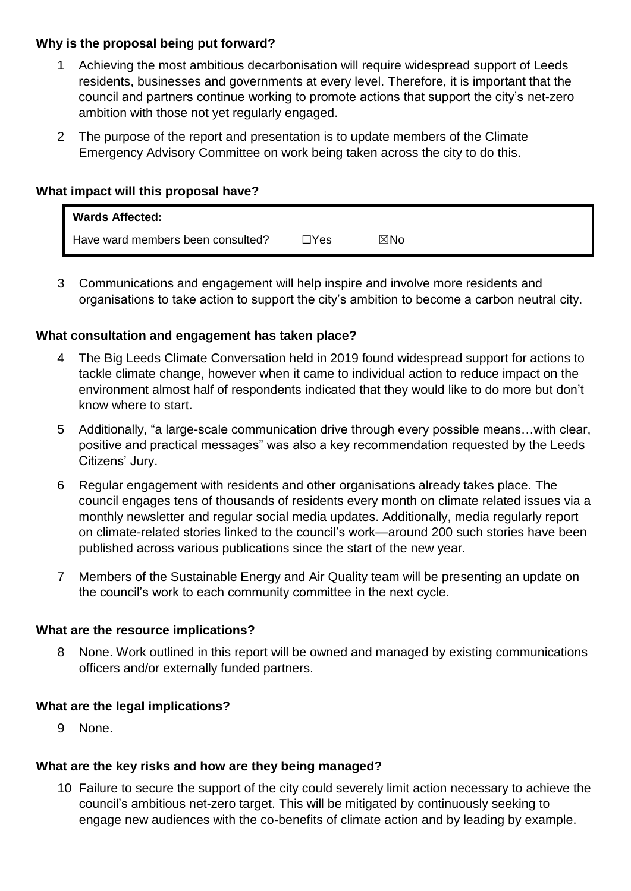#### **Why is the proposal being put forward?**

- 1 Achieving the most ambitious decarbonisation will require widespread support of Leeds residents, businesses and governments at every level. Therefore, it is important that the council and partners continue working to promote actions that support the city's net-zero ambition with those not yet regularly engaged.
- 2 The purpose of the report and presentation is to update members of the Climate Emergency Advisory Committee on work being taken across the city to do this.

#### **What impact will this proposal have?**

| <b>Wards Affected:</b>            |              |     |
|-----------------------------------|--------------|-----|
| Have ward members been consulted? | $\sqcap$ Yes | ⊠No |

3 Communications and engagement will help inspire and involve more residents and organisations to take action to support the city's ambition to become a carbon neutral city.

#### **What consultation and engagement has taken place?**

- 4 The Big Leeds Climate Conversation held in 2019 found widespread support for actions to tackle climate change, however when it came to individual action to reduce impact on the environment almost half of respondents indicated that they would like to do more but don't know where to start.
- 5 Additionally, "a large-scale communication drive through every possible means…with clear, positive and practical messages" was also a key recommendation requested by the Leeds Citizens' Jury.
- 6 Regular engagement with residents and other organisations already takes place. The council engages tens of thousands of residents every month on climate related issues via a monthly newsletter and regular social media updates. Additionally, media regularly report on climate-related stories linked to the council's work—around 200 such stories have been published across various publications since the start of the new year.
- 7 Members of the Sustainable Energy and Air Quality team will be presenting an update on the council's work to each community committee in the next cycle.

#### **What are the resource implications?**

8 None. Work outlined in this report will be owned and managed by existing communications officers and/or externally funded partners.

#### **What are the legal implications?**

9 None.

#### **What are the key risks and how are they being managed?**

10 Failure to secure the support of the city could severely limit action necessary to achieve the council's ambitious net-zero target. This will be mitigated by continuously seeking to engage new audiences with the co-benefits of climate action and by leading by example.